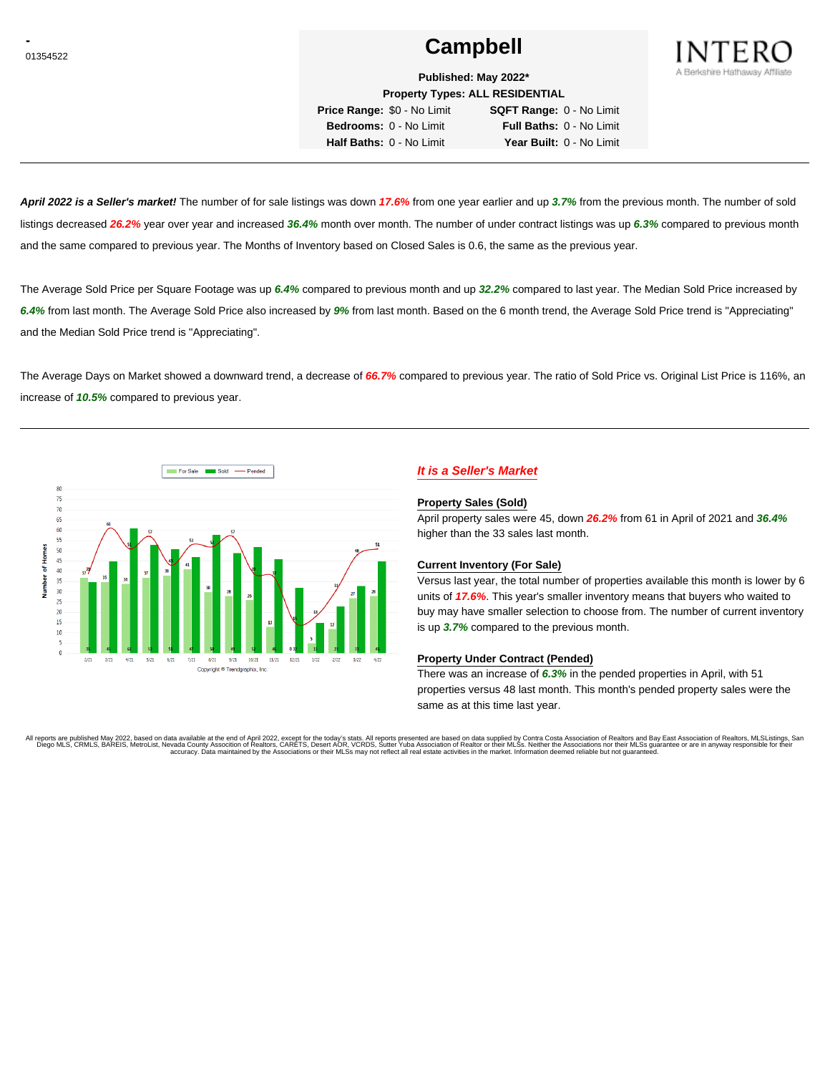# **Campbell Campbell**



**Published: May 2022\* Property Types: ALL RESIDENTIAL**

**Price Range:** \$0 - No Limit **SQFT Range:** 0 - No Limit **Bedrooms:** 0 - No Limit **Full Baths:** 0 - No Limit **Half Baths:** 0 - No Limit **Year Built:** 0 - No Limit

**April 2022 is a Seller's market!** The number of for sale listings was down **17.6%** from one year earlier and up **3.7%** from the previous month. The number of sold listings decreased **26.2%** year over year and increased **36.4%** month over month. The number of under contract listings was up **6.3%** compared to previous month and the same compared to previous year. The Months of Inventory based on Closed Sales is 0.6, the same as the previous year.

The Average Sold Price per Square Footage was up **6.4%** compared to previous month and up **32.2%** compared to last year. The Median Sold Price increased by **6.4%** from last month. The Average Sold Price also increased by **9%** from last month. Based on the 6 month trend, the Average Sold Price trend is "Appreciating" and the Median Sold Price trend is "Appreciating".

The Average Days on Market showed a downward trend, a decrease of **66.7%** compared to previous year. The ratio of Sold Price vs. Original List Price is 116%, an increase of **10.5%** compared to previous year.



## **It is a Seller's Market**

#### **Property Sales (Sold)**

April property sales were 45, down **26.2%** from 61 in April of 2021 and **36.4%** higher than the 33 sales last month.

### **Current Inventory (For Sale)**

Versus last year, the total number of properties available this month is lower by 6 units of **17.6%**. This year's smaller inventory means that buyers who waited to buy may have smaller selection to choose from. The number of current inventory is up **3.7%** compared to the previous month.

### **Property Under Contract (Pended)**

There was an increase of **6.3%** in the pended properties in April, with 51 properties versus 48 last month. This month's pended property sales were the same as at this time last year.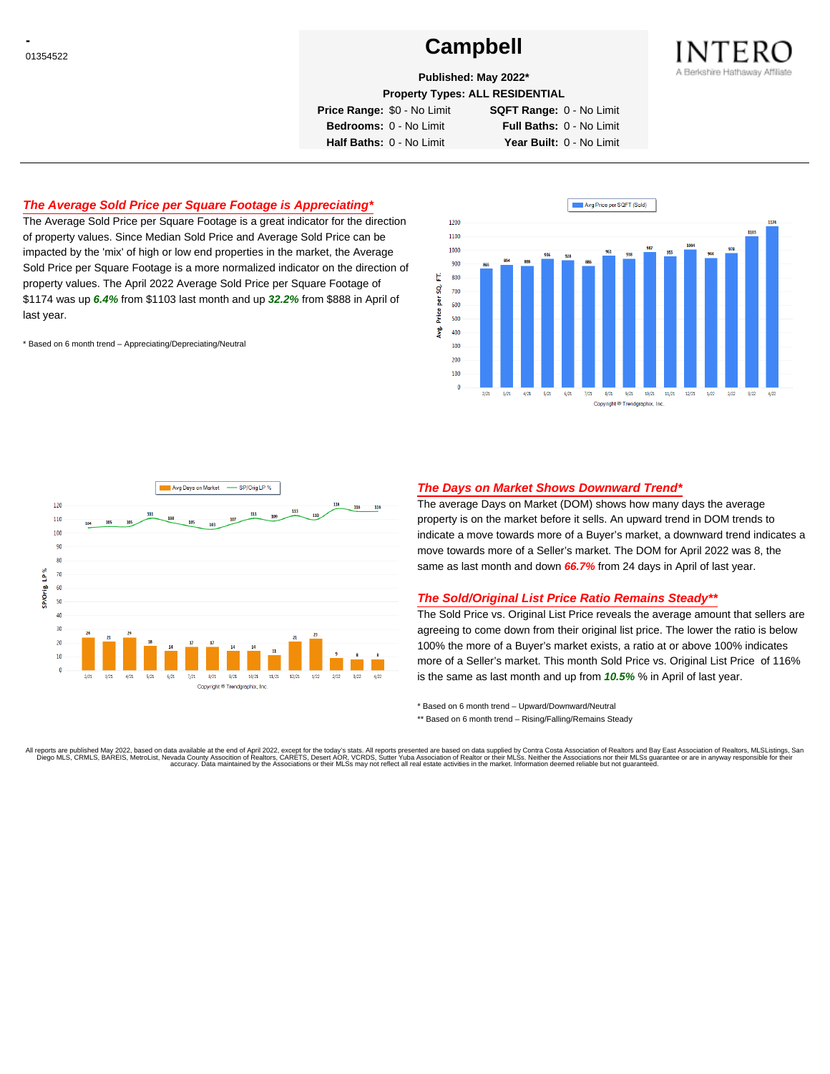# **Campbell Campbell**



**Published: May 2022\***

**Property Types: ALL RESIDENTIAL**

**Price Range:** \$0 - No Limit **SQFT Range:** 0 - No Limit

**Bedrooms:** 0 - No Limit **Full Baths:** 0 - No Limit **Half Baths:** 0 - No Limit **Year Built:** 0 - No Limit

## **The Average Sold Price per Square Footage is Appreciating\***

The Average Sold Price per Square Footage is a great indicator for the direction of property values. Since Median Sold Price and Average Sold Price can be impacted by the 'mix' of high or low end properties in the market, the Average Sold Price per Square Footage is a more normalized indicator on the direction of property values. The April 2022 Average Sold Price per Square Footage of \$1174 was up **6.4%** from \$1103 last month and up **32.2%** from \$888 in April of last year.

\* Based on 6 month trend – Appreciating/Depreciating/Neutral





### **The Days on Market Shows Downward Trend\***

The average Days on Market (DOM) shows how many days the average property is on the market before it sells. An upward trend in DOM trends to indicate a move towards more of a Buyer's market, a downward trend indicates a move towards more of a Seller's market. The DOM for April 2022 was 8, the same as last month and down **66.7%** from 24 days in April of last year.

### **The Sold/Original List Price Ratio Remains Steady\*\***

The Sold Price vs. Original List Price reveals the average amount that sellers are agreeing to come down from their original list price. The lower the ratio is below 100% the more of a Buyer's market exists, a ratio at or above 100% indicates more of a Seller's market. This month Sold Price vs. Original List Price of 116% is the same as last month and up from **10.5%** % in April of last year.

\* Based on 6 month trend – Upward/Downward/Neutral

\*\* Based on 6 month trend - Rising/Falling/Remains Steady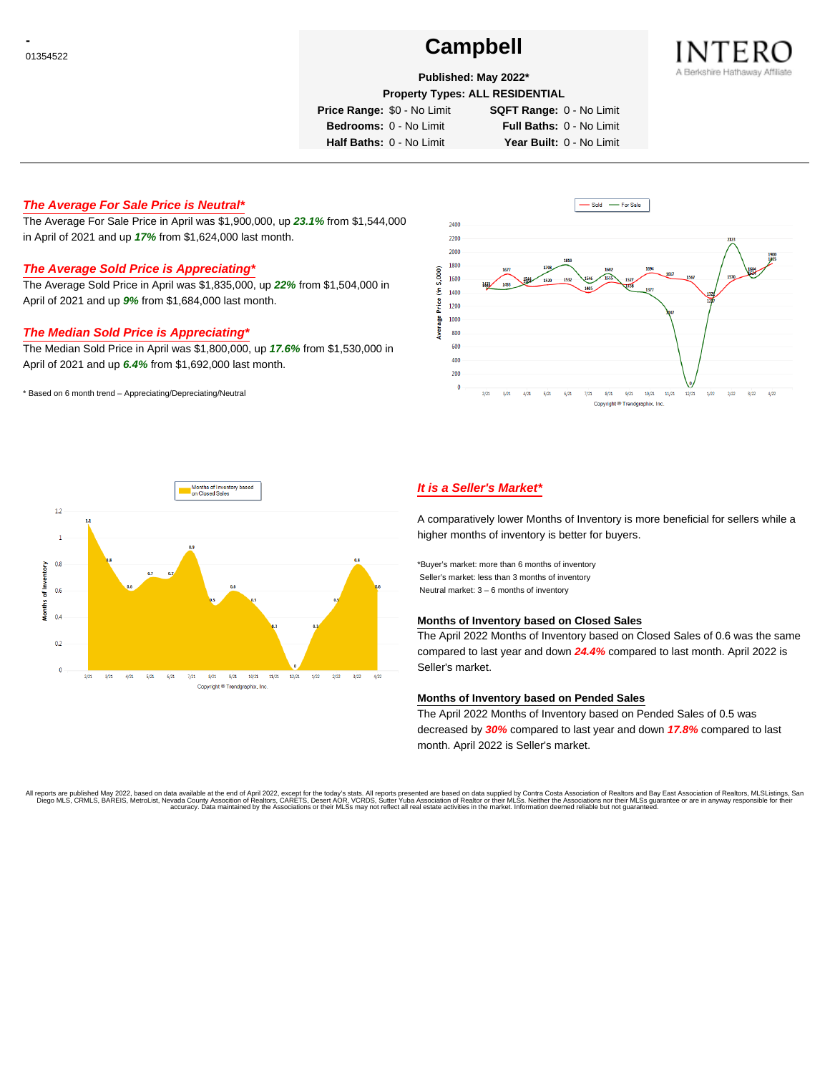# **Campbell Campbell**



## **Published: May 2022\***

**Property Types: ALL RESIDENTIAL**

**Price Range:** \$0 - No Limit **SQFT Range:** 0 - No Limit

**Bedrooms:** 0 - No Limit **Full Baths:** 0 - No Limit **Half Baths:** 0 - No Limit **Year Built:** 0 - No Limit

## **The Average For Sale Price is Neutral\***

The Average For Sale Price in April was \$1,900,000, up **23.1%** from \$1,544,000 in April of 2021 and up **17%** from \$1,624,000 last month.

# **The Average Sold Price is Appreciating\***

The Average Sold Price in April was \$1,835,000, up **22%** from \$1,504,000 in April of 2021 and up **9%** from \$1,684,000 last month.

## **The Median Sold Price is Appreciating\***

The Median Sold Price in April was \$1,800,000, up **17.6%** from \$1,530,000 in April of 2021 and up **6.4%** from \$1,692,000 last month.

\* Based on 6 month trend – Appreciating/Depreciating/Neutral





## **It is a Seller's Market\***

A comparatively lower Months of Inventory is more beneficial for sellers while a higher months of inventory is better for buyers.

\*Buyer's market: more than 6 months of inventory Seller's market: less than 3 months of inventory Neutral market: 3 – 6 months of inventory

#### **Months of Inventory based on Closed Sales**

The April 2022 Months of Inventory based on Closed Sales of 0.6 was the same compared to last year and down **24.4%** compared to last month. April 2022 is Seller's market.

### **Months of Inventory based on Pended Sales**

The April 2022 Months of Inventory based on Pended Sales of 0.5 was decreased by **30%** compared to last year and down **17.8%** compared to last month. April 2022 is Seller's market.